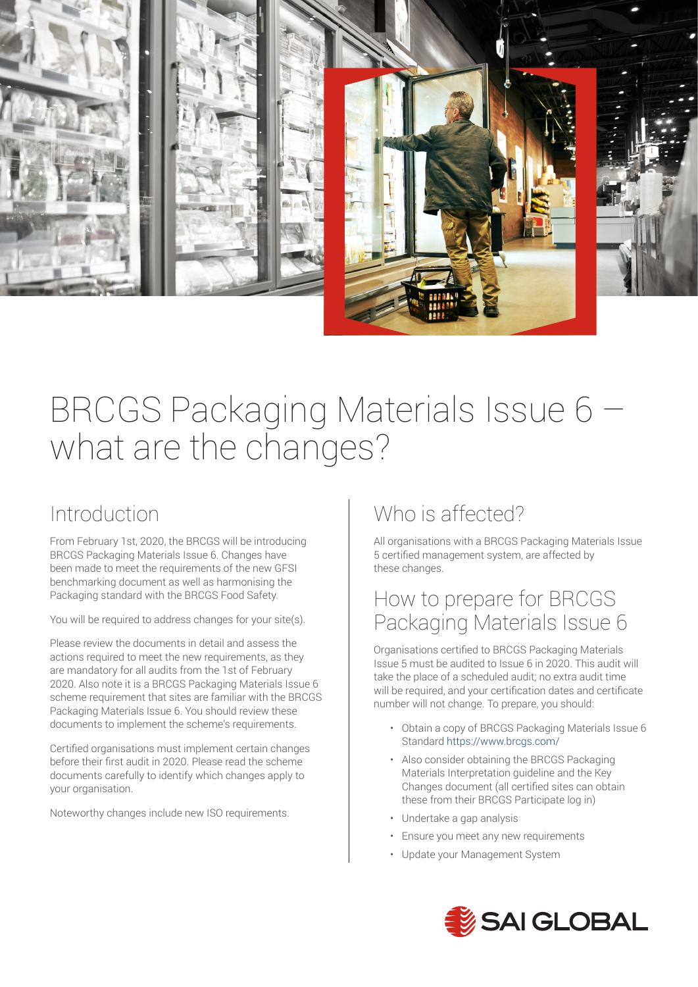

# BRCGS Packaging Materials Issue 6 – what are the changes?

## Introduction

From February 1st, 2020, the BRCGS will be introducing BRCGS Packaging Materials Issue 6. Changes have been made to meet the requirements of the new GFSI benchmarking document as well as harmonising the Packaging standard with the BRCGS Food Safety.

You will be required to address changes for your site(s).

Please review the documents in detail and assess the actions required to meet the new requirements, as they are mandatory for all audits from the 1st of February 2020. Also note it is a BRCGS Packaging Materials Issue 6 scheme requirement that sites are familiar with the BRCGS Packaging Materials Issue 6. You should review these documents to implement the scheme's requirements.

Certified organisations must implement certain changes before their first audit in 2020. Please read the scheme documents carefully to identify which changes apply to your organisation.

Noteworthy changes include new ISO requirements.

## Who is affected?

All organisations with a BRCGS Packaging Materials Issue 5 certified management system, are affected by these changes.

#### How to prepare for BRCGS Packaging Materials Issue 6

Organisations certified to BRCGS Packaging Materials Issue 5 must be audited to Issue 6 in 2020. This audit will take the place of a scheduled audit; no extra audit time will be required, and your certification dates and certificate number will not change. To prepare, you should:

- Obtain a copy of BRCGS Packaging Materials Issue 6 Standard https://www.brcgs.com/
- Also consider obtaining the BRCGS Packaging Materials Interpretation guideline and the Key Changes document (all certified sites can obtain these from their BRCGS Participate log in)
- Undertake a gap analysis
- Ensure you meet any new requirements
- Update your Management System